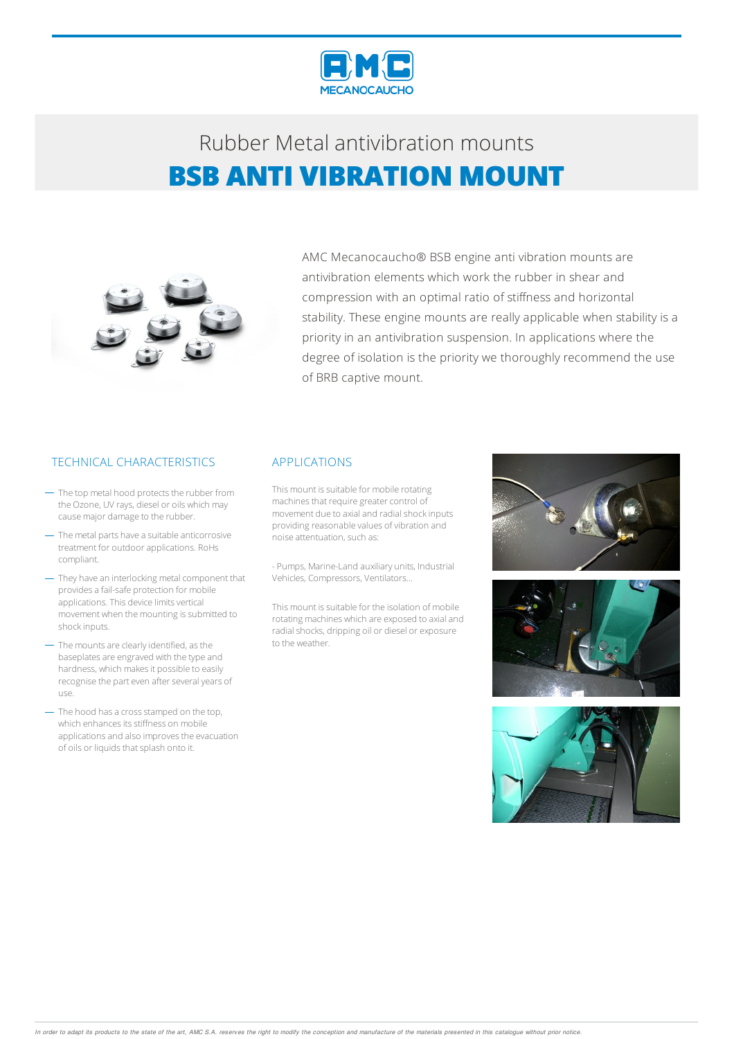



AMC Mecanocaucho® BSB engine anti vibration mounts are antivibration elements which work the rubber in shear and compression with an optimal ratio of stiffness and horizontal stability. These engine mounts are really applicable when stability is a priority in an antivibration suspension. In applications where the degree of isolation is the priority we thoroughly recommend the use of BRB captive mount.

### TECHNICAL CHARACTERISTICS APPLICATIONS

- $-$  The top metal hood protects the rubber from the Ozone, UV rays, diesel or oils which may causemajor damage to the rubber.
- $-$  The metal parts have a suitable anticorrosive treatment for outdoorapplications. RoHs compliant.
- They have an interlocking metal component that provides a fail-safe protection for mobile applications. This device limits vertical movement when the mounting is submitted to shockinputs.
- The mounts are clearly identified, as the baseplates are engraved with the type and hardness, which makes it possible to easily recognise the part even after several years of use.
- The hood has a cross stamped on the top, which enhances its stiffness on mobile applications and also improves the evacuation of oils or liquids that splash onto it.

This mount is suitable for mobile rotating machines that require greater control of movement due to axial and radial shock inputs providing reasonable values of vibration and noise attentuation, such as:

- Pumps, Marine-Land auxiliary units, Industrial Vehicles, Compressors, Ventilators…

This mount is suitable for the isolation of mobile rotating machines which are exposed to axial and radial shocks, dripping oil or diesel or exposure to the weather.





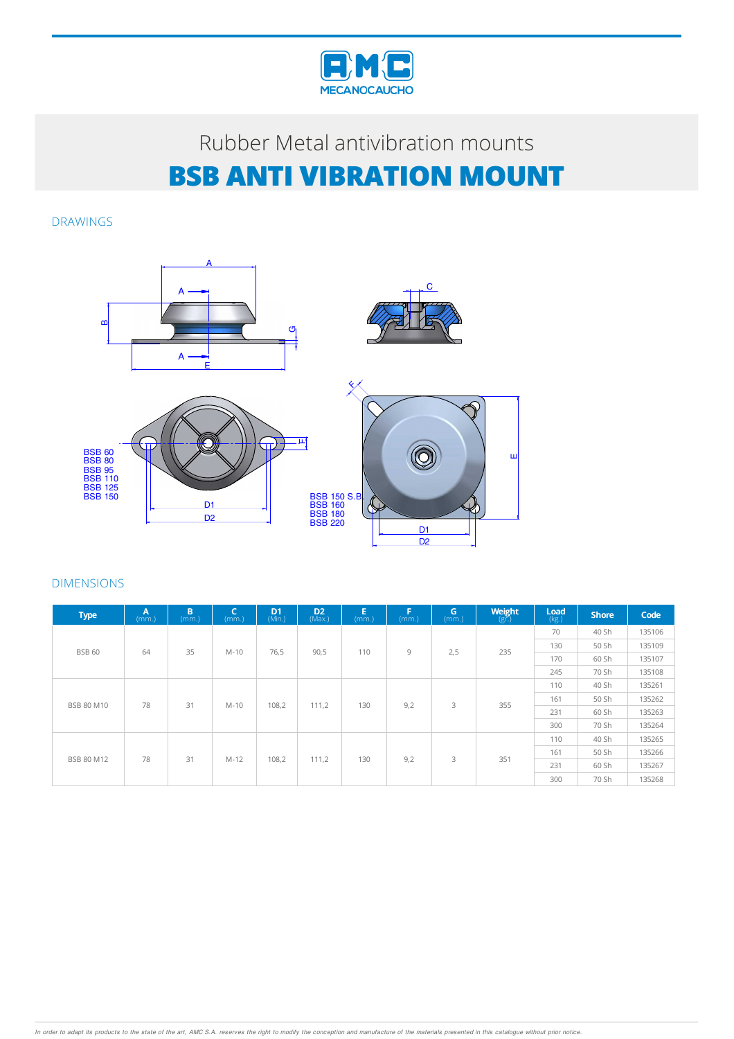

DRAWINGS



| <b>Type</b>       | $\overline{A}$<br>(mm.) | B<br>(mm.) | C<br>(mm.) | D <sub>1</sub><br>(Min.) | D <sub>2</sub><br>(Max.) | E<br>(mm.) | F<br>(mm.) | $\mathsf{G}$<br>(mm.) | Weight<br>$(g\bar{r})$ | Load<br>(kg.) | <b>Shore</b> | Code   |        |
|-------------------|-------------------------|------------|------------|--------------------------|--------------------------|------------|------------|-----------------------|------------------------|---------------|--------------|--------|--------|
|                   |                         |            |            |                          | 90,5                     | 110        | 9          | 2,5                   | 235                    | 70            | 40 Sh        | 135106 |        |
| <b>BSB 60</b>     | 64                      | 35         | $M-10$     | 76,5                     |                          |            |            |                       |                        | 130           | 50 Sh        | 135109 |        |
|                   |                         |            |            |                          |                          |            |            |                       |                        | 170           | 60 Sh        | 135107 |        |
|                   |                         |            |            |                          |                          |            |            |                       |                        | 245           | 70 Sh        | 135108 |        |
|                   | 78                      | 31         | $M-10$     | 108,2                    | 111,2                    | 130        | 9,2        | 3                     |                        | 110           | 40 Sh        | 135261 |        |
| <b>BSB 80 M10</b> |                         |            |            |                          |                          |            |            |                       | 355                    | 161           | 50 Sh        | 135262 |        |
|                   |                         |            |            |                          |                          |            |            |                       |                        | 231           | 60 Sh        | 135263 |        |
|                   |                         |            |            |                          |                          |            |            |                       |                        | 300           | 70 Sh        | 135264 |        |
|                   | 78                      | 31         |            |                          |                          |            |            |                       |                        |               | 110          | 40 Sh  | 135265 |
| <b>BSB 80 M12</b> |                         |            | $M-12$     | 108,2                    | 111,2                    | 130        | 9,2        | 3                     | 351                    | 161           | 50 Sh        | 135266 |        |
|                   |                         |            |            |                          |                          |            |            |                       |                        | 231           | 60 Sh        | 135267 |        |
|                   |                         |            |            |                          |                          |            |            |                       |                        | 300           | 70 Sh        | 135268 |        |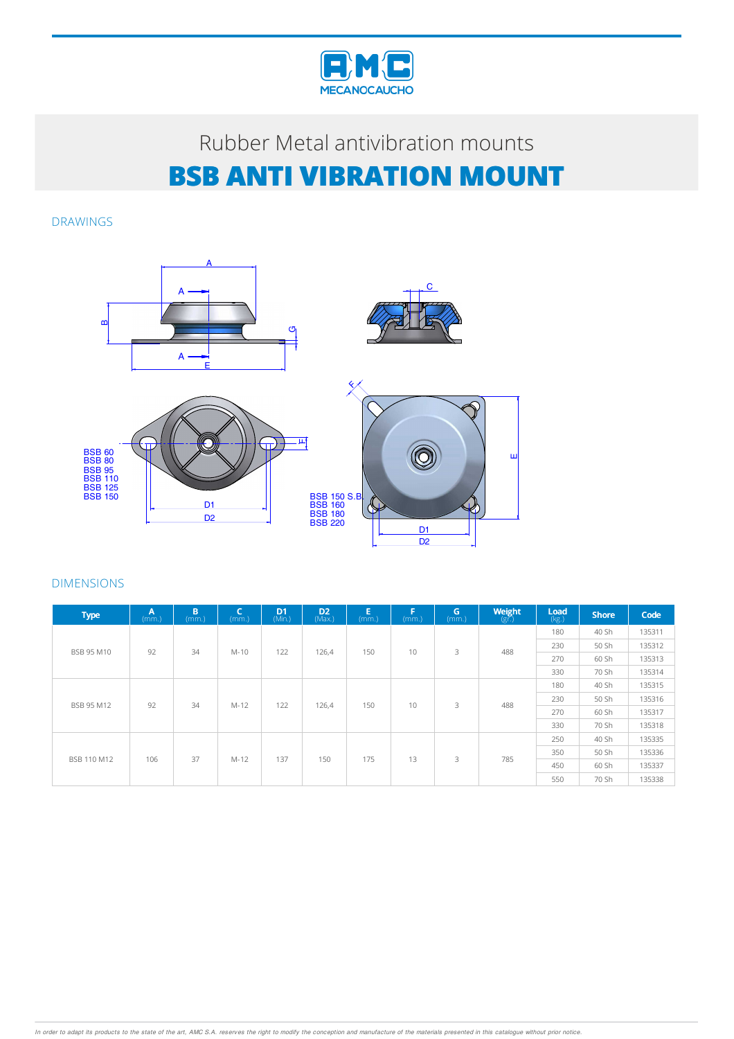

DRAWINGS



| <b>Type</b>       | A<br>(mm.) | B<br>(mm.) | C<br>(mm.) | D <sub>1</sub><br>(Min.) | D <sub>2</sub><br>(Max.) | E.<br>(mm.) | F<br>(mm.) | G<br>(mm.) | <b>Weight</b><br>$(g\bar{f})$ | Load<br>(kg.) | <b>Shore</b> | Code   |
|-------------------|------------|------------|------------|--------------------------|--------------------------|-------------|------------|------------|-------------------------------|---------------|--------------|--------|
|                   |            |            |            |                          | 126,4                    | 150         | 10         | 3          | 488                           | 180           | 40 Sh        | 135311 |
| <b>BSB 95 M10</b> | 92         | 34         | $M-10$     | 122                      |                          |             |            |            |                               | 230           | 50 Sh        | 135312 |
|                   |            |            |            |                          |                          |             |            |            |                               | 270           | 60 Sh        | 135313 |
|                   |            |            |            |                          |                          |             |            |            |                               | 330           | 70 Sh        | 135314 |
|                   | 92         | 34         | $M-12$     | 122                      | 126,4                    | 150         | 10         | 3          | 488                           | 180           | 40 Sh        | 135315 |
| <b>BSB 95 M12</b> |            |            |            |                          |                          |             |            |            |                               | 230           | 50 Sh        | 135316 |
|                   |            |            |            |                          |                          |             |            |            |                               | 270           | 60 Sh        | 135317 |
|                   |            |            |            |                          |                          |             |            |            |                               | 330           | 70 Sh        | 135318 |
|                   | 106        | 37         | $M-12$     |                          | 150                      | 175         |            |            |                               | 250           | 40 Sh        | 135335 |
| BSB 110 M12       |            |            |            | 137                      |                          |             | 13         | 3          | 785                           | 350           | 50 Sh        | 135336 |
|                   |            |            |            |                          |                          |             |            |            |                               | 450           | 60 Sh        | 135337 |
|                   |            |            |            |                          |                          |             |            |            |                               | 550           | 70 Sh        | 135338 |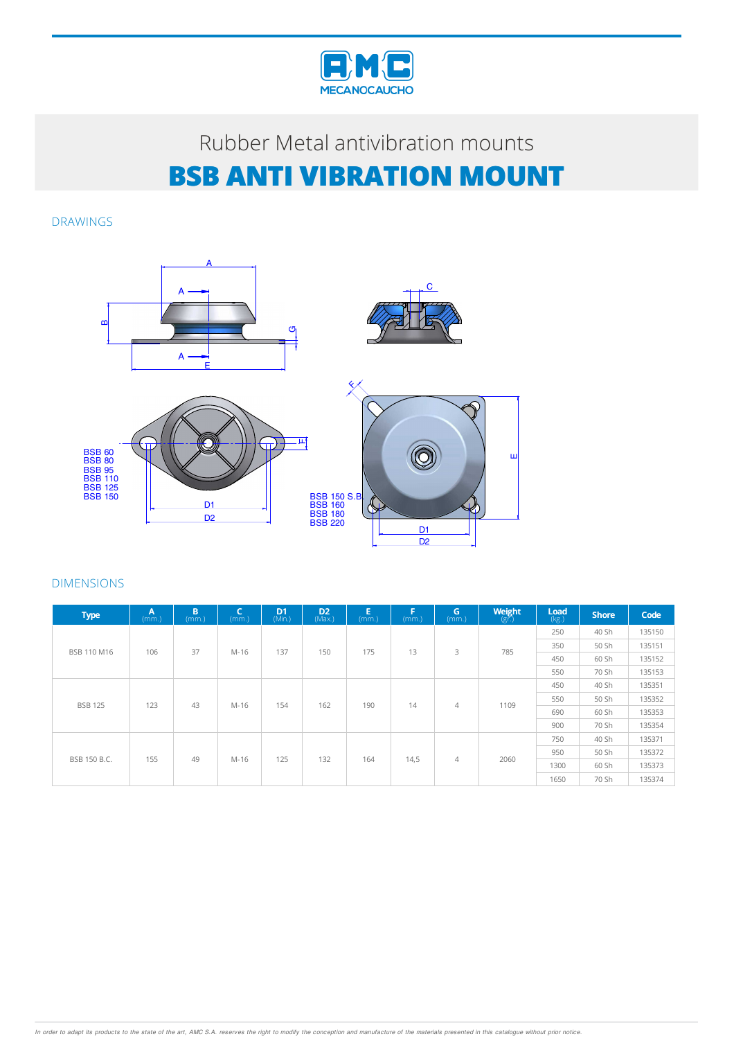

DRAWINGS



| <b>Type</b>    | A<br>(mm.) | B<br>(mm.) | $\mathsf{C}$<br>(mm.) | D <sub>1</sub><br>(Min.) | D <sub>2</sub><br>(Max.) | E.<br>(mm.) | F<br>(mm.) | G<br>(mm.)     | Weight<br>$(g\bar{r})$ | Load<br>(kg.) | <b>Shore</b> | Code   |
|----------------|------------|------------|-----------------------|--------------------------|--------------------------|-------------|------------|----------------|------------------------|---------------|--------------|--------|
|                |            |            |                       |                          |                          | 13<br>175   |            | 3              | 785                    | 250           | 40 Sh        | 135150 |
| BSB 110 M16    | 106        | 37         | M-16                  | 137                      | 150                      |             |            |                |                        | 350           | 50 Sh        | 135151 |
|                |            |            |                       |                          |                          |             |            |                |                        | 450           | 60 Sh        | 135152 |
|                |            |            |                       |                          |                          |             |            |                | 550                    | 70 Sh         | 135153       |        |
|                | 123        | 43         | M-16                  | 154                      | 162                      | 190         | 14         |                | 1109                   | 450           | 40 Sh        | 135351 |
| <b>BSB 125</b> |            |            |                       |                          |                          |             |            | $\overline{4}$ |                        | 550           | 50 Sh        | 135352 |
|                |            |            |                       |                          |                          |             |            |                |                        | 690           | 60 Sh        | 135353 |
|                |            |            |                       |                          |                          |             |            |                |                        | 900           | 70 Sh        | 135354 |
|                |            | 49<br>155  | M-16                  |                          | 132                      | 164         |            |                | 2060                   | 750           | 40 Sh        | 135371 |
| BSB 150 B.C.   |            |            |                       | 125                      |                          |             |            | $\overline{4}$ |                        | 950           | 50 Sh        | 135372 |
|                |            |            |                       |                          |                          |             | 14,5       |                |                        | 1300          | 60 Sh        | 135373 |
|                |            |            |                       |                          |                          |             |            |                |                        | 1650          | 70 Sh        | 135374 |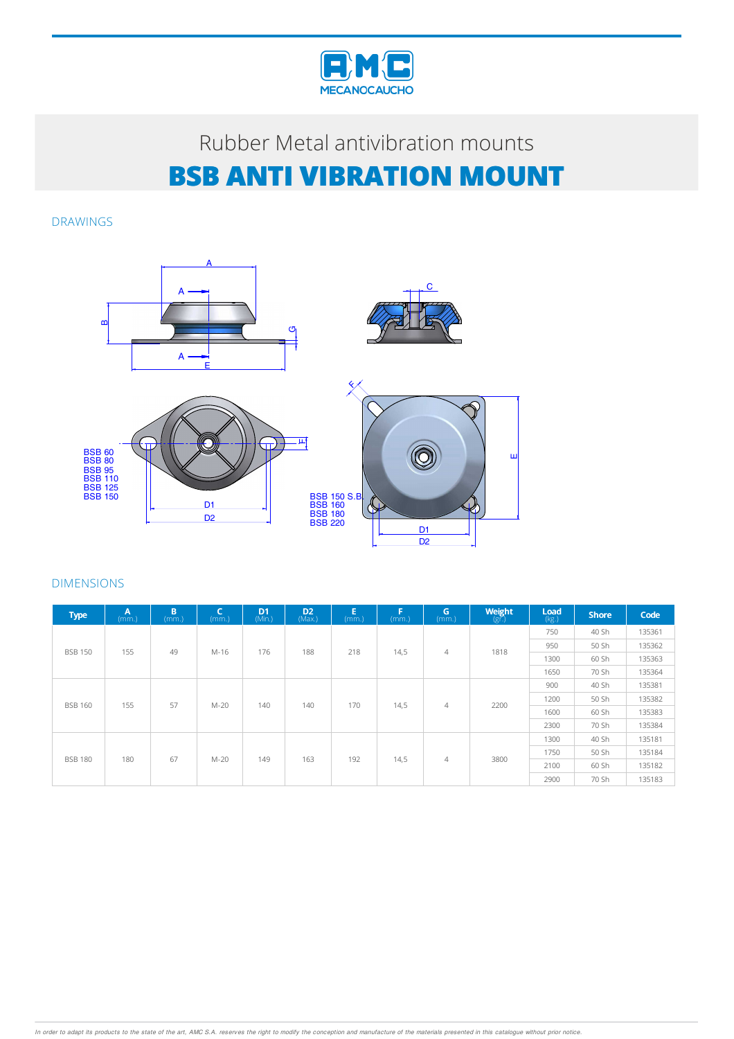

DRAWINGS



| <b>Type</b>           | $\overline{A}$<br>(mm.) | B.<br>(mm.) | $\mathsf{C}$<br>(mm.) | D <sub>1</sub><br>(Min.)            | D <sub>2</sub><br>(Max) | E.<br>(mm.) | p.<br>(mm.)            | G.<br>(mm.)    | <b>Weight</b><br>$(g\vec{r})$ | Load<br>(kg.) | <b>Shore</b> | Code   |
|-----------------------|-------------------------|-------------|-----------------------|-------------------------------------|-------------------------|-------------|------------------------|----------------|-------------------------------|---------------|--------------|--------|
| <b>BSB 150</b><br>155 |                         |             |                       |                                     |                         |             | 14,5<br>$\overline{4}$ |                | 1818                          | 750           | 40 Sh        | 135361 |
|                       |                         | 49          | M-16                  | 176                                 | 188                     | 218         |                        |                |                               | 950           | 50 Sh        | 135362 |
|                       |                         |             |                       |                                     |                         |             |                        |                |                               | 1300          | 60 Sh        | 135363 |
|                       |                         |             |                       |                                     |                         |             |                        |                |                               | 1650          | 70 Sh        | 135364 |
|                       |                         |             | 57<br>M-20            | 140                                 | 140                     | 170         | 14,5                   | $\overline{4}$ | 2200                          | 900           | 40 Sh        | 135381 |
| <b>BSB 160</b>        | 155                     |             |                       |                                     |                         |             |                        |                |                               | 1200          | 50 Sh        | 135382 |
|                       |                         |             |                       |                                     |                         |             |                        |                |                               | 1600          | 60 Sh        | 135383 |
|                       |                         |             |                       |                                     |                         |             |                        |                |                               | 2300          | 70 Sh        | 135384 |
|                       |                         |             |                       |                                     |                         |             |                        |                |                               | 1300          | 40 Sh        | 135181 |
| <b>BSB 180</b>        | 180                     | 67          |                       | 163<br>192<br>$M-20$<br>149<br>14,5 | $\overline{4}$          |             | 1750                   | 50 Sh          | 135184                        |               |              |        |
|                       |                         |             |                       |                                     |                         |             |                        |                | 3800                          | 2100          | 60 Sh        | 135182 |
|                       |                         |             |                       |                                     |                         |             |                        |                |                               | 2900          | 70 Sh        | 135183 |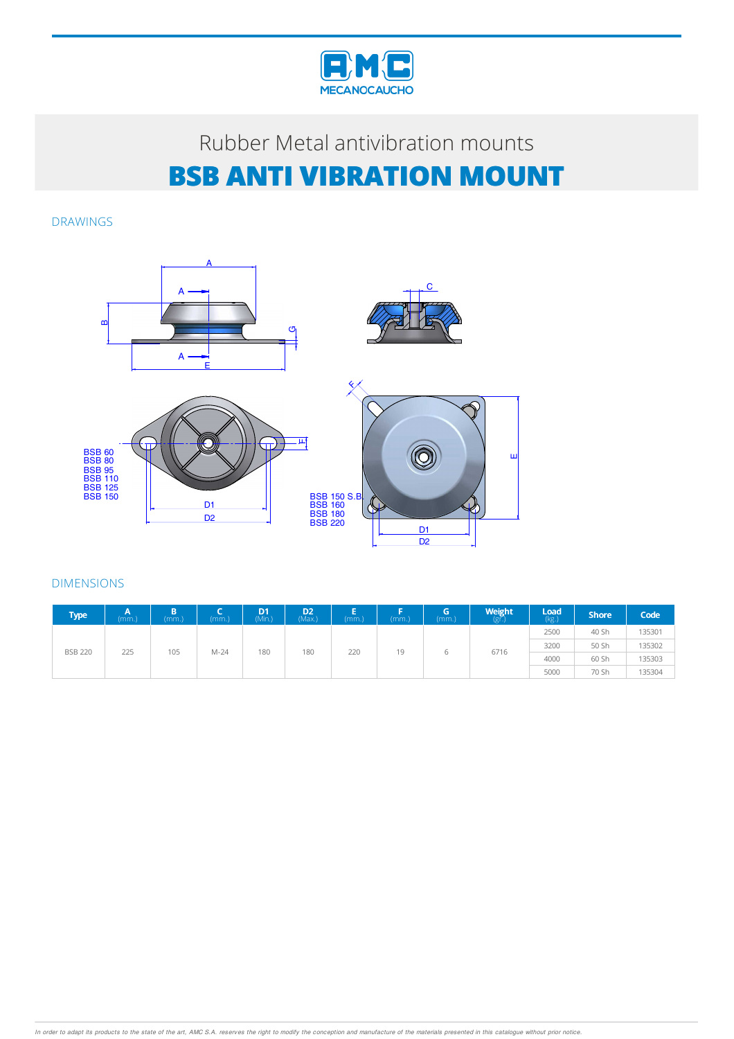

DRAWINGS



| <b>Type</b>    | (mm.) | (mm.) | (mm)   | D <sub>1</sub><br>(Min.) | D <sub>2</sub><br>(Max.) | (mm.) | (mm.) | lG,<br>(mm.) | Weight<br>(gr.) | Load<br>(kg.) | <b>Shore</b> | Code   |
|----------------|-------|-------|--------|--------------------------|--------------------------|-------|-------|--------------|-----------------|---------------|--------------|--------|
| <b>BSB 220</b> | 225   | 105   | $M-24$ | 180                      | 180                      | 220   | 19    |              | 6716            | 2500          | 40 Sh        | 135301 |
|                |       |       |        |                          |                          |       |       |              |                 | 3200          | 50 Sh        | 135302 |
|                |       |       |        |                          |                          |       |       |              |                 | 4000          | 60 Sh        | 135303 |
|                |       |       |        |                          |                          |       |       |              |                 | 5000          | 70 Sh        | 135304 |